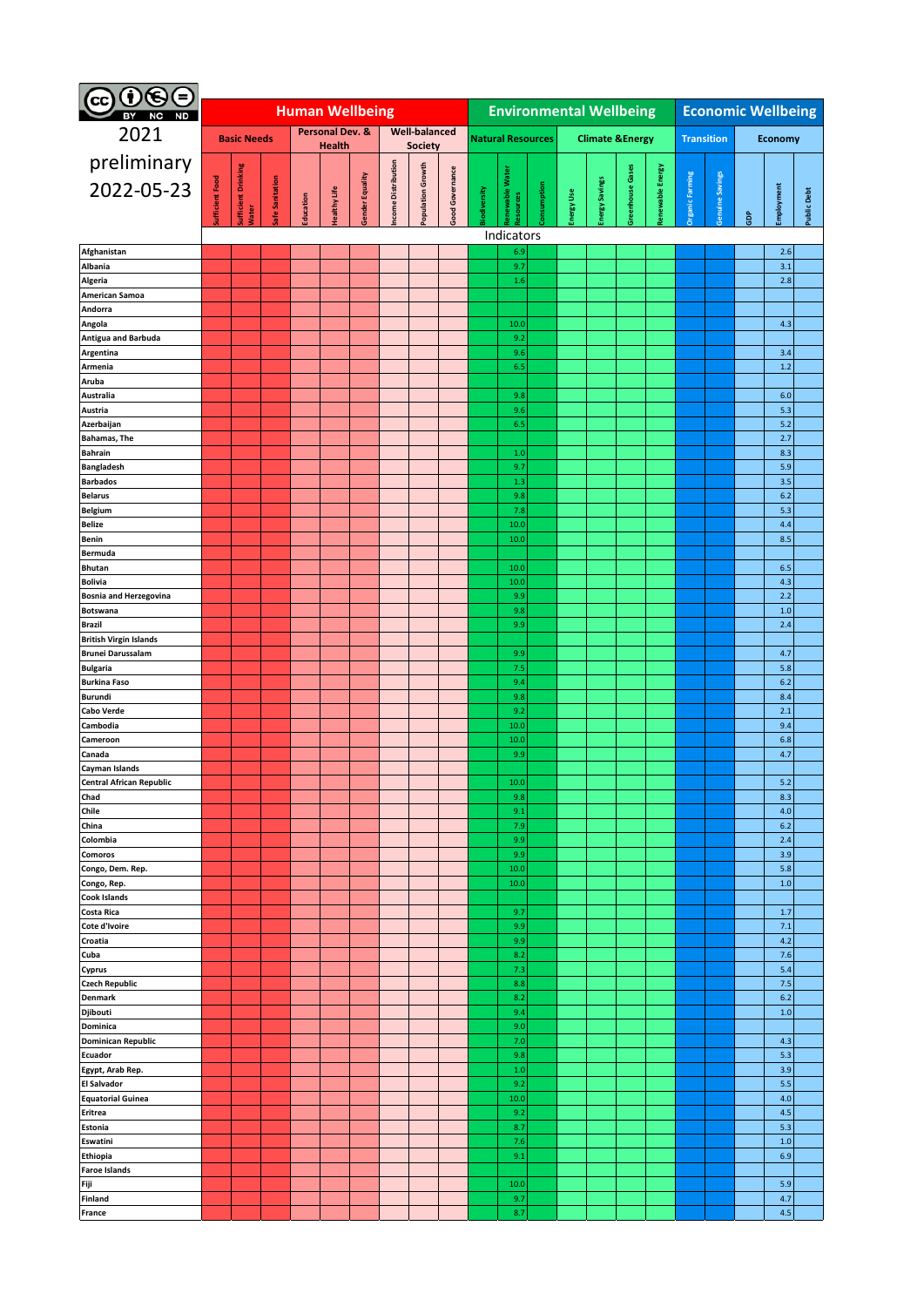| $0\circ$<br>Θ<br>(cc)                                     |                    |                            |                 |                                                |              |                 |                           |                   |                 |                                |                            |             |                            |                       |                 |                  |                           |                 |                |              |                    |
|-----------------------------------------------------------|--------------------|----------------------------|-----------------|------------------------------------------------|--------------|-----------------|---------------------------|-------------------|-----------------|--------------------------------|----------------------------|-------------|----------------------------|-----------------------|-----------------|------------------|---------------------------|-----------------|----------------|--------------|--------------------|
| <b>ND</b>                                                 |                    |                            |                 | <b>Human Wellbeing</b><br><b>Well-balanced</b> |              |                 |                           |                   |                 | <b>Environmental Wellbeing</b> |                            |             |                            |                       |                 |                  | <b>Economic Wellbeing</b> |                 |                |              |                    |
| 2021                                                      | <b>Basic Needs</b> |                            |                 | <b>Personal Dev. &amp;</b><br><b>Health</b>    |              |                 |                           | <b>Society</b>    |                 |                                | <b>Natural Resources</b>   |             | <b>Climate &amp;Energy</b> |                       |                 |                  | <b>Transition</b>         |                 | <b>Economy</b> |              |                    |
| preliminary                                               |                    |                            |                 |                                                |              |                 |                           |                   |                 |                                |                            |             |                            |                       |                 |                  |                           |                 |                |              |                    |
| 2022-05-23                                                |                    |                            |                 |                                                |              |                 |                           |                   |                 |                                |                            |             |                            |                       |                 |                  |                           |                 |                |              |                    |
|                                                           | ufficient Food     | <b>Sufficient Drinking</b> | Safe Sanitation | Education                                      | lealthy Life | Gender Equality | <b>Icome Distribution</b> | Population Growth | Good Governance | <b>liodiversity</b>            | enewable Water<br>esources | Consumption | Energy Use                 | <b>Energy Savings</b> | reenhouse Gases | Renewable Energy | <b>Organic Farming</b>    | Genuine Savings |                | Employment   | <b>Public Debt</b> |
|                                                           |                    | Water                      |                 |                                                |              |                 |                           |                   |                 |                                |                            |             |                            |                       |                 |                  |                           |                 | å              |              |                    |
| Afghanistan                                               |                    |                            |                 |                                                |              |                 |                           |                   |                 |                                | Indicators<br>6.9          |             |                            |                       |                 |                  |                           |                 |                | 2.6          |                    |
| Albania                                                   |                    |                            |                 |                                                |              |                 |                           |                   |                 |                                | 9.7                        |             |                            |                       |                 |                  |                           |                 |                | 3.1          |                    |
| Algeria                                                   |                    |                            |                 |                                                |              |                 |                           |                   |                 |                                | 1.6                        |             |                            |                       |                 |                  |                           |                 |                | 2.8          |                    |
| American Samoa                                            |                    |                            |                 |                                                |              |                 |                           |                   |                 |                                |                            |             |                            |                       |                 |                  |                           |                 |                |              |                    |
| Andorra<br>Angola                                         |                    |                            |                 |                                                |              |                 |                           |                   |                 |                                | 10.0                       |             |                            |                       |                 |                  |                           |                 |                | 4.3          |                    |
| <b>Antigua and Barbuda</b>                                |                    |                            |                 |                                                |              |                 |                           |                   |                 |                                | 9.2                        |             |                            |                       |                 |                  |                           |                 |                |              |                    |
| Argentina                                                 |                    |                            |                 |                                                |              |                 |                           |                   |                 |                                | 9.6                        |             |                            |                       |                 |                  |                           |                 |                | 3.4          |                    |
| Armenia<br>Aruba                                          |                    |                            |                 |                                                |              |                 |                           |                   |                 |                                | 6.5                        |             |                            |                       |                 |                  |                           |                 |                | 1.2          |                    |
| Australia                                                 |                    |                            |                 |                                                |              |                 |                           |                   |                 |                                | 9.8                        |             |                            |                       |                 |                  |                           |                 |                | 6.0          |                    |
| Austria                                                   |                    |                            |                 |                                                |              |                 |                           |                   |                 |                                | 9.6                        |             |                            |                       |                 |                  |                           |                 |                | 5.3          |                    |
| Azerbaijan                                                |                    |                            |                 |                                                |              |                 |                           |                   |                 |                                | 6.5                        |             |                            |                       |                 |                  |                           |                 |                | 5.2          |                    |
| <b>Bahamas, The</b><br><b>Bahrain</b>                     |                    |                            |                 |                                                |              |                 |                           |                   |                 |                                | 1.0                        |             |                            |                       |                 |                  |                           |                 |                | 2.7<br>8.3   |                    |
| <b>Bangladesh</b>                                         |                    |                            |                 |                                                |              |                 |                           |                   |                 |                                | 9.7                        |             |                            |                       |                 |                  |                           |                 |                | 5.9          |                    |
| <b>Barbados</b>                                           |                    |                            |                 |                                                |              |                 |                           |                   |                 |                                | 1.3                        |             |                            |                       |                 |                  |                           |                 |                | 3.5          |                    |
| <b>Belarus</b>                                            |                    |                            |                 |                                                |              |                 |                           |                   |                 |                                | 9.8                        |             |                            |                       |                 |                  |                           |                 |                | 6.2          |                    |
| Belgium<br><b>Belize</b>                                  |                    |                            |                 |                                                |              |                 |                           |                   |                 |                                | 7.8<br>10.0                |             |                            |                       |                 |                  |                           |                 |                | 5.3<br>4.4   |                    |
| Benin                                                     |                    |                            |                 |                                                |              |                 |                           |                   |                 |                                | 10.0                       |             |                            |                       |                 |                  |                           |                 |                | 8.5          |                    |
| <b>Bermuda</b>                                            |                    |                            |                 |                                                |              |                 |                           |                   |                 |                                |                            |             |                            |                       |                 |                  |                           |                 |                |              |                    |
| <b>Bhutan</b>                                             |                    |                            |                 |                                                |              |                 |                           |                   |                 |                                | 10.0<br>10.0               |             |                            |                       |                 |                  |                           |                 |                | 6.5<br>4.3   |                    |
| <b>Bolivia</b><br><b>Bosnia and Herzegovina</b>           |                    |                            |                 |                                                |              |                 |                           |                   |                 |                                | 9.9                        |             |                            |                       |                 |                  |                           |                 |                | 2.2          |                    |
| <b>Botswana</b>                                           |                    |                            |                 |                                                |              |                 |                           |                   |                 |                                | 9.8                        |             |                            |                       |                 |                  |                           |                 |                | $1.0$        |                    |
| <b>Brazil</b>                                             |                    |                            |                 |                                                |              |                 |                           |                   |                 |                                | 9.9                        |             |                            |                       |                 |                  |                           |                 |                | 2.4          |                    |
| <b>British Virgin Islands</b><br><b>Brunei Darussalam</b> |                    |                            |                 |                                                |              |                 |                           |                   |                 |                                | 9.9                        |             |                            |                       |                 |                  |                           |                 |                | 4.7          |                    |
| <b>Bulgaria</b>                                           |                    |                            |                 |                                                |              |                 |                           |                   |                 |                                | 7.5                        |             |                            |                       |                 |                  |                           |                 |                | 5.8          |                    |
| <b>Burkina Faso</b>                                       |                    |                            |                 |                                                |              |                 |                           |                   |                 |                                | 9.4                        |             |                            |                       |                 |                  |                           |                 |                | 6.2          |                    |
| <b>Burundi</b>                                            |                    |                            |                 |                                                |              |                 |                           |                   |                 |                                | 9.8                        |             |                            |                       |                 |                  |                           |                 |                | 8.4          |                    |
| Cabo Verde<br>Cambodia                                    |                    |                            |                 |                                                |              |                 |                           |                   |                 |                                | 9.2<br>10.0                |             |                            |                       |                 |                  |                           |                 |                | 2.1<br>9.4   |                    |
| Cameroon                                                  |                    |                            |                 |                                                |              |                 |                           |                   |                 |                                | 10.0                       |             |                            |                       |                 |                  |                           |                 |                | 6.8          |                    |
| Canada                                                    |                    |                            |                 |                                                |              |                 |                           |                   |                 |                                | 9.9                        |             |                            |                       |                 |                  |                           |                 |                | 4.7          |                    |
| Cayman Islands<br><b>Central African Republic</b>         |                    |                            |                 |                                                |              |                 |                           |                   |                 |                                | 10.0                       |             |                            |                       |                 |                  |                           |                 |                | $5.2\,$      |                    |
| Chad                                                      |                    |                            |                 |                                                |              |                 |                           |                   |                 |                                | 9.8                        |             |                            |                       |                 |                  |                           |                 |                | 8.3          |                    |
| Chile                                                     |                    |                            |                 |                                                |              |                 |                           |                   |                 |                                | 9.1                        |             |                            |                       |                 |                  |                           |                 |                | 4.0          |                    |
| China                                                     |                    |                            |                 |                                                |              |                 |                           |                   |                 |                                | 7.9                        |             |                            |                       |                 |                  |                           |                 |                | 6.2          |                    |
| Colombia<br>Comoros                                       |                    |                            |                 |                                                |              |                 |                           |                   |                 |                                | 9.9<br>9.9                 |             |                            |                       |                 |                  |                           |                 |                | 2.4<br>3.9   |                    |
| Congo, Dem. Rep.                                          |                    |                            |                 |                                                |              |                 |                           |                   |                 |                                | 10.0                       |             |                            |                       |                 |                  |                           |                 |                | 5.8          |                    |
| Congo, Rep.                                               |                    |                            |                 |                                                |              |                 |                           |                   |                 |                                | 10.0                       |             |                            |                       |                 |                  |                           |                 |                | $1.0$        |                    |
| <b>Cook Islands</b><br>Costa Rica                         |                    |                            |                 |                                                |              |                 |                           |                   |                 |                                | 9.7                        |             |                            |                       |                 |                  |                           |                 |                | 1.7          |                    |
| Cote d'Ivoire                                             |                    |                            |                 |                                                |              |                 |                           |                   |                 |                                | 9.9                        |             |                            |                       |                 |                  |                           |                 |                | 7.1          |                    |
| Croatia                                                   |                    |                            |                 |                                                |              |                 |                           |                   |                 |                                | 9.9                        |             |                            |                       |                 |                  |                           |                 |                | 4.2          |                    |
| Cuba                                                      |                    |                            |                 |                                                |              |                 |                           |                   |                 |                                | 8.2                        |             |                            |                       |                 |                  |                           |                 |                | 7.6          |                    |
| Cyprus<br><b>Czech Republic</b>                           |                    |                            |                 |                                                |              |                 |                           |                   |                 |                                | 7.3<br>8.8                 |             |                            |                       |                 |                  |                           |                 |                | 5.4<br>7.5   |                    |
| <b>Denmark</b>                                            |                    |                            |                 |                                                |              |                 |                           |                   |                 |                                | 8.2                        |             |                            |                       |                 |                  |                           |                 |                | 6.2          |                    |
| Djibouti                                                  |                    |                            |                 |                                                |              |                 |                           |                   |                 |                                | 9.4                        |             |                            |                       |                 |                  |                           |                 |                | $1.0$        |                    |
| Dominica                                                  |                    |                            |                 |                                                |              |                 |                           |                   |                 |                                | 9.0<br>7.0                 |             |                            |                       |                 |                  |                           |                 |                | 4.3          |                    |
| <b>Dominican Republic</b><br>Ecuador                      |                    |                            |                 |                                                |              |                 |                           |                   |                 |                                | 9.8                        |             |                            |                       |                 |                  |                           |                 |                | 5.3          |                    |
| Egypt, Arab Rep.                                          |                    |                            |                 |                                                |              |                 |                           |                   |                 |                                | $1.0$                      |             |                            |                       |                 |                  |                           |                 |                | 3.9          |                    |
| <b>El Salvador</b>                                        |                    |                            |                 |                                                |              |                 |                           |                   |                 |                                | 9.2                        |             |                            |                       |                 |                  |                           |                 |                | 5.5          |                    |
| <b>Equatorial Guinea</b><br><b>Eritrea</b>                |                    |                            |                 |                                                |              |                 |                           |                   |                 |                                | 10.0<br>9.2                |             |                            |                       |                 |                  |                           |                 |                | $4.0$<br>4.5 |                    |
| Estonia                                                   |                    |                            |                 |                                                |              |                 |                           |                   |                 |                                | 8.7                        |             |                            |                       |                 |                  |                           |                 |                | 5.3          |                    |
| Eswatini                                                  |                    |                            |                 |                                                |              |                 |                           |                   |                 |                                | 7.6                        |             |                            |                       |                 |                  |                           |                 |                | $1.0$        |                    |
| <b>Ethiopia</b>                                           |                    |                            |                 |                                                |              |                 |                           |                   |                 |                                | 9.1                        |             |                            |                       |                 |                  |                           |                 |                | 6.9          |                    |
| <b>Faroe Islands</b><br>Fiji                              |                    |                            |                 |                                                |              |                 |                           |                   |                 |                                | 10.0                       |             |                            |                       |                 |                  |                           |                 |                | 5.9          |                    |
| <b>Finland</b>                                            |                    |                            |                 |                                                |              |                 |                           |                   |                 |                                | 9.7                        |             |                            |                       |                 |                  |                           |                 |                | 4.7          |                    |
| France                                                    |                    |                            |                 |                                                |              |                 |                           |                   |                 |                                | 8.7                        |             |                            |                       |                 |                  |                           |                 |                | 4.5          |                    |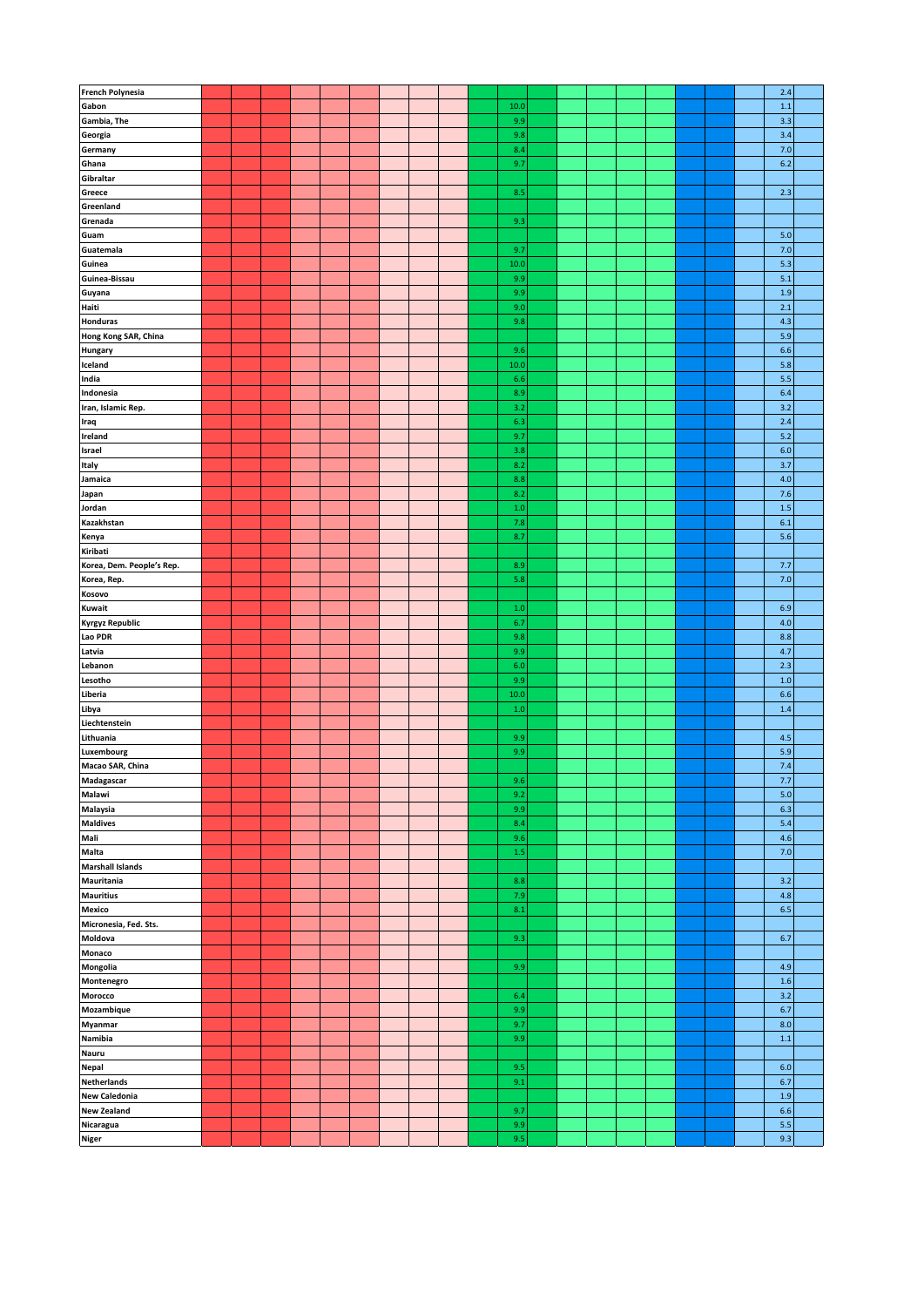| <b>French Polynesia</b>   |  |  |  |  |  |      |  |  |  |  | 2.4 |
|---------------------------|--|--|--|--|--|------|--|--|--|--|-----|
| Gabon                     |  |  |  |  |  | 10.0 |  |  |  |  | 1.1 |
| Gambia, The               |  |  |  |  |  | 9.9  |  |  |  |  | 3.3 |
|                           |  |  |  |  |  | 9.8  |  |  |  |  | 3.4 |
| Georgia                   |  |  |  |  |  |      |  |  |  |  |     |
| Germany                   |  |  |  |  |  | 8.4  |  |  |  |  | 7.0 |
| Ghana                     |  |  |  |  |  | 9.7  |  |  |  |  | 6.2 |
| Gibraltar                 |  |  |  |  |  |      |  |  |  |  |     |
| Greece                    |  |  |  |  |  | 8.5  |  |  |  |  | 2.3 |
| Greenland                 |  |  |  |  |  |      |  |  |  |  |     |
| Grenada                   |  |  |  |  |  | 9.3  |  |  |  |  |     |
| Guam                      |  |  |  |  |  |      |  |  |  |  | 5.0 |
|                           |  |  |  |  |  | 9.7  |  |  |  |  |     |
| Guatemala                 |  |  |  |  |  |      |  |  |  |  | 7.0 |
| Guinea                    |  |  |  |  |  | 10.0 |  |  |  |  | 5.3 |
| Guinea-Bissau             |  |  |  |  |  | 9.9  |  |  |  |  | 5.1 |
| Guyana                    |  |  |  |  |  | 9.9  |  |  |  |  | 1.9 |
| Haiti                     |  |  |  |  |  | 9.0  |  |  |  |  | 2.1 |
| Honduras                  |  |  |  |  |  | 9.8  |  |  |  |  | 4.3 |
| Hong Kong SAR, China      |  |  |  |  |  |      |  |  |  |  | 5.9 |
|                           |  |  |  |  |  | 9.6  |  |  |  |  | 6.6 |
| Hungary                   |  |  |  |  |  |      |  |  |  |  |     |
| Iceland                   |  |  |  |  |  | 10.0 |  |  |  |  | 5.8 |
| India                     |  |  |  |  |  | 6.6  |  |  |  |  | 5.5 |
| Indonesia                 |  |  |  |  |  | 8.9  |  |  |  |  | 6.4 |
| Iran, Islamic Rep.        |  |  |  |  |  | 3.2  |  |  |  |  | 3.2 |
| Iraq                      |  |  |  |  |  | 6.3  |  |  |  |  | 2.4 |
| Ireland                   |  |  |  |  |  | 9.7  |  |  |  |  | 5.2 |
|                           |  |  |  |  |  | 3.8  |  |  |  |  |     |
| Israel                    |  |  |  |  |  |      |  |  |  |  | 6.0 |
| Italy                     |  |  |  |  |  | 8.2  |  |  |  |  | 3.7 |
| Jamaica                   |  |  |  |  |  | 8.8  |  |  |  |  | 4.0 |
| Japan                     |  |  |  |  |  | 8.2  |  |  |  |  | 7.6 |
| Jordan                    |  |  |  |  |  | 1.0  |  |  |  |  | 1.5 |
| Kazakhstan                |  |  |  |  |  | 7.8  |  |  |  |  | 6.1 |
| Kenya                     |  |  |  |  |  | 8.7  |  |  |  |  | 5.6 |
|                           |  |  |  |  |  |      |  |  |  |  |     |
| Kiribati                  |  |  |  |  |  |      |  |  |  |  |     |
| Korea, Dem. People's Rep. |  |  |  |  |  | 8.9  |  |  |  |  | 7.7 |
| Korea, Rep.               |  |  |  |  |  | 5.8  |  |  |  |  | 7.0 |
| Kosovo                    |  |  |  |  |  |      |  |  |  |  |     |
| Kuwait                    |  |  |  |  |  | 1.0  |  |  |  |  | 6.9 |
| <b>Kyrgyz Republic</b>    |  |  |  |  |  | 6.7  |  |  |  |  | 4.0 |
| Lao PDR                   |  |  |  |  |  | 9.8  |  |  |  |  | 8.8 |
| Latvia                    |  |  |  |  |  | 9.9  |  |  |  |  | 4.7 |
|                           |  |  |  |  |  |      |  |  |  |  |     |
| Lebanon                   |  |  |  |  |  | 6.0  |  |  |  |  | 2.3 |
| Lesotho                   |  |  |  |  |  | 9.9  |  |  |  |  | 1.0 |
| Liberia                   |  |  |  |  |  | 10.0 |  |  |  |  | 6.6 |
| Libya                     |  |  |  |  |  | 1.0  |  |  |  |  | 1.4 |
| Liechtenstein             |  |  |  |  |  |      |  |  |  |  |     |
| Lithuania                 |  |  |  |  |  | 9.9  |  |  |  |  | 4.5 |
| Luxembourg                |  |  |  |  |  | 9.9  |  |  |  |  | 5.9 |
|                           |  |  |  |  |  |      |  |  |  |  |     |
| Macao SAR, China          |  |  |  |  |  |      |  |  |  |  | 7.4 |
| Madagascar                |  |  |  |  |  | 9.6  |  |  |  |  | 7.7 |
| Malawi                    |  |  |  |  |  | 9.2  |  |  |  |  | 5.0 |
| Malaysia                  |  |  |  |  |  | 9.9  |  |  |  |  | 6.3 |
| <b>Maldives</b>           |  |  |  |  |  | 8.4  |  |  |  |  | 5.4 |
| Mali                      |  |  |  |  |  | 9.6  |  |  |  |  | 4.6 |
| Malta                     |  |  |  |  |  | 1.5  |  |  |  |  | 7.0 |
|                           |  |  |  |  |  |      |  |  |  |  |     |
| <b>Marshall Islands</b>   |  |  |  |  |  |      |  |  |  |  |     |
| Mauritania                |  |  |  |  |  | 8.8  |  |  |  |  | 3.2 |
| <b>Mauritius</b>          |  |  |  |  |  | 7.9  |  |  |  |  | 4.8 |
| <b>Mexico</b>             |  |  |  |  |  | 8.1  |  |  |  |  | 6.5 |
| Micronesia, Fed. Sts.     |  |  |  |  |  |      |  |  |  |  |     |
| Moldova                   |  |  |  |  |  | 9.3  |  |  |  |  | 6.7 |
| Monaco                    |  |  |  |  |  |      |  |  |  |  |     |
|                           |  |  |  |  |  |      |  |  |  |  |     |
| Mongolia                  |  |  |  |  |  | 9.9  |  |  |  |  | 4.9 |
| Montenegro                |  |  |  |  |  |      |  |  |  |  | 1.6 |
| Morocco                   |  |  |  |  |  | 6.4  |  |  |  |  | 3.2 |
| Mozambique                |  |  |  |  |  | 9.9  |  |  |  |  | 6.7 |
| Myanmar                   |  |  |  |  |  | 9.7  |  |  |  |  | 8.0 |
| Namibia                   |  |  |  |  |  | 9.9  |  |  |  |  | 1.1 |
| Nauru                     |  |  |  |  |  |      |  |  |  |  |     |
|                           |  |  |  |  |  |      |  |  |  |  |     |
| Nepal                     |  |  |  |  |  | 9.5  |  |  |  |  | 6.0 |
| <b>Netherlands</b>        |  |  |  |  |  | 9.1  |  |  |  |  | 6.7 |
| <b>New Caledonia</b>      |  |  |  |  |  |      |  |  |  |  | 1.9 |
| <b>New Zealand</b>        |  |  |  |  |  | 9.7  |  |  |  |  | 6.6 |
| Nicaragua                 |  |  |  |  |  | 9.9  |  |  |  |  | 5.5 |
| <b>Niger</b>              |  |  |  |  |  | 9.5  |  |  |  |  | 9.3 |
|                           |  |  |  |  |  |      |  |  |  |  |     |